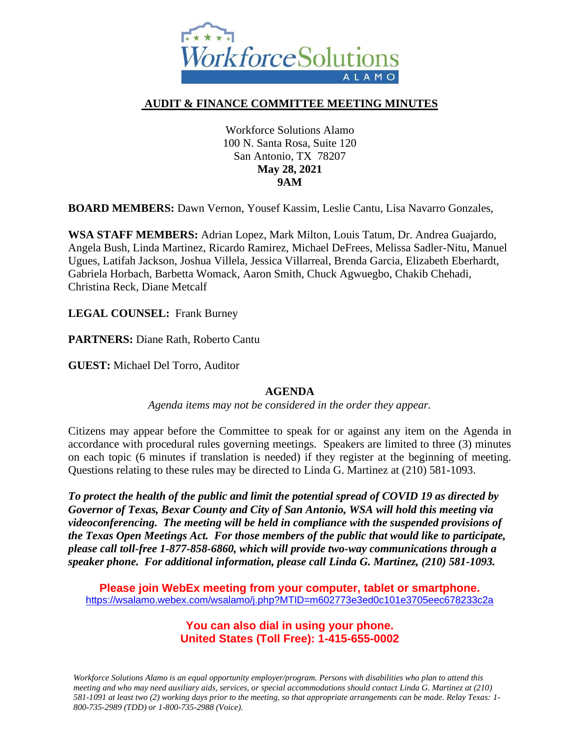

## **AUDIT & FINANCE COMMITTEE MEETING MINUTES**

Workforce Solutions Alamo 100 N. Santa Rosa, Suite 120 San Antonio, TX 78207 **May 28, 2021 9AM**

**BOARD MEMBERS:** Dawn Vernon, Yousef Kassim, Leslie Cantu, Lisa Navarro Gonzales,

**WSA STAFF MEMBERS:** Adrian Lopez, Mark Milton, Louis Tatum, Dr. Andrea Guajardo, Angela Bush, Linda Martinez, Ricardo Ramirez, Michael DeFrees, Melissa Sadler-Nitu, Manuel Ugues, Latifah Jackson, Joshua Villela, Jessica Villarreal, Brenda Garcia, Elizabeth Eberhardt, Gabriela Horbach, Barbetta Womack, Aaron Smith, Chuck Agwuegbo, Chakib Chehadi, Christina Reck, Diane Metcalf

**LEGAL COUNSEL:** Frank Burney

**PARTNERS:** Diane Rath, Roberto Cantu

**GUEST:** Michael Del Torro, Auditor

#### **AGENDA**

*Agenda items may not be considered in the order they appear.*

Citizens may appear before the Committee to speak for or against any item on the Agenda in accordance with procedural rules governing meetings. Speakers are limited to three (3) minutes on each topic (6 minutes if translation is needed) if they register at the beginning of meeting. Questions relating to these rules may be directed to Linda G. Martinez at (210) 581-1093.

*To protect the health of the public and limit the potential spread of COVID 19 as directed by Governor of Texas, Bexar County and City of San Antonio, WSA will hold this meeting via videoconferencing. The meeting will be held in compliance with the suspended provisions of the Texas Open Meetings Act. For those members of the public that would like to participate, please call toll-free 1-877-858-6860, which will provide two-way communications through a speaker phone. For additional information, please call Linda G. Martinez, (210) 581-1093.* 

**Please join WebEx meeting from your computer, tablet or smartphone.**  <https://wsalamo.webex.com/wsalamo/j.php?MTID=m602773e3ed0c101e3705eec678233c2a>

# **You can also dial in using your phone. United States (Toll Free): 1-415-655-0002**

*Workforce Solutions Alamo is an equal opportunity employer/program. Persons with disabilities who plan to attend this meeting and who may need auxiliary aids, services, or special accommodations should contact Linda G. Martinez at (210) 581-1091 at least two (2) working days prior to the meeting, so that appropriate arrangements can be made. Relay Texas: 1- 800-735-2989 (TDD) or 1-800-735-2988 (Voice).*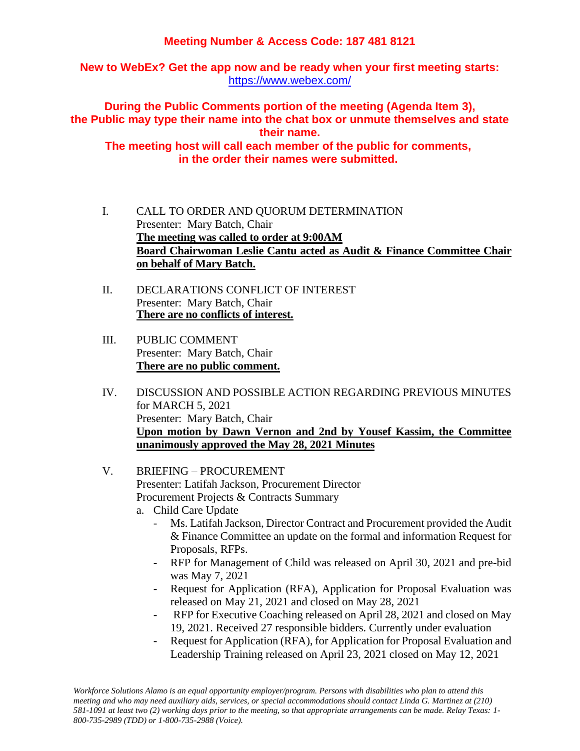# **Meeting Number & Access Code: 187 481 8121**

**New to WebEx? Get the app now and be ready when your first meeting starts:**  <https://www.webex.com/>

**During the Public Comments portion of the meeting (Agenda Item 3), the Public may type their name into the chat box or unmute themselves and state their name. The meeting host will call each member of the public for comments, in the order their names were submitted.**

I. CALL TO ORDER AND QUORUM DETERMINATION Presenter: Mary Batch, Chair **The meeting was called to order at 9:00AM Board Chairwoman Leslie Cantu acted as Audit & Finance Committee Chair on behalf of Mary Batch.** 

- II. DECLARATIONS CONFLICT OF INTEREST Presenter: Mary Batch, Chair **There are no conflicts of interest.**
- III. PUBLIC COMMENT Presenter: Mary Batch, Chair **There are no public comment.**
- IV. DISCUSSION AND POSSIBLE ACTION REGARDING PREVIOUS MINUTES for MARCH 5, 2021 Presenter: Mary Batch, Chair **Upon motion by Dawn Vernon and 2nd by Yousef Kassim, the Committee unanimously approved the May 28, 2021 Minutes**
- V. BRIEFING PROCUREMENT Presenter: Latifah Jackson, Procurement Director Procurement Projects & Contracts Summary
	- a. Child Care Update
		- Ms. Latifah Jackson, Director Contract and Procurement provided the Audit & Finance Committee an update on the formal and information Request for Proposals, RFPs.
		- RFP for Management of Child was released on April 30, 2021 and pre-bid was May 7, 2021
		- Request for Application (RFA), Application for Proposal Evaluation was released on May 21, 2021 and closed on May 28, 2021
		- RFP for Executive Coaching released on April 28, 2021 and closed on May 19, 2021. Received 27 responsible bidders. Currently under evaluation
		- Request for Application (RFA), for Application for Proposal Evaluation and Leadership Training released on April 23, 2021 closed on May 12, 2021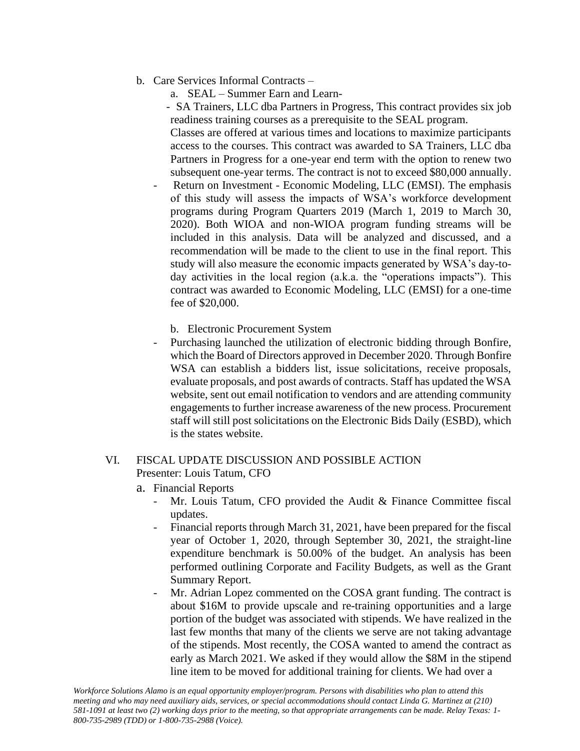b. Care Services Informal Contracts –

a. SEAL – Summer Earn and Learn-

- SA Trainers, LLC dba Partners in Progress, This contract provides six job readiness training courses as a prerequisite to the SEAL program. Classes are offered at various times and locations to maximize participants access to the courses. This contract was awarded to SA Trainers, LLC dba Partners in Progress for a one-year end term with the option to renew two subsequent one-year terms. The contract is not to exceed \$80,000 annually.
- Return on Investment Economic Modeling, LLC (EMSI). The emphasis of this study will assess the impacts of WSA's workforce development programs during Program Quarters 2019 (March 1, 2019 to March 30, 2020). Both WIOA and non-WIOA program funding streams will be included in this analysis. Data will be analyzed and discussed, and a recommendation will be made to the client to use in the final report. This study will also measure the economic impacts generated by WSA's day-today activities in the local region (a.k.a. the "operations impacts"). This contract was awarded to Economic Modeling, LLC (EMSI) for a one-time fee of \$20,000.

b. Electronic Procurement System

Purchasing launched the utilization of electronic bidding through Bonfire, which the Board of Directors approved in December 2020. Through Bonfire WSA can establish a bidders list, issue solicitations, receive proposals, evaluate proposals, and post awards of contracts. Staff has updated the WSA website, sent out email notification to vendors and are attending community engagements to further increase awareness of the new process. Procurement staff will still post solicitations on the Electronic Bids Daily (ESBD), which is the states website.

### VI. FISCAL UPDATE DISCUSSION AND POSSIBLE ACTION Presenter: Louis Tatum, CFO

- a. Financial Reports
	- Mr. Louis Tatum, CFO provided the Audit & Finance Committee fiscal updates.
	- Financial reports through March 31, 2021, have been prepared for the fiscal year of October 1, 2020, through September 30, 2021, the straight-line expenditure benchmark is 50.00% of the budget. An analysis has been performed outlining Corporate and Facility Budgets, as well as the Grant Summary Report.
	- Mr. Adrian Lopez commented on the COSA grant funding. The contract is about \$16M to provide upscale and re-training opportunities and a large portion of the budget was associated with stipends. We have realized in the last few months that many of the clients we serve are not taking advantage of the stipends. Most recently, the COSA wanted to amend the contract as early as March 2021. We asked if they would allow the \$8M in the stipend line item to be moved for additional training for clients. We had over a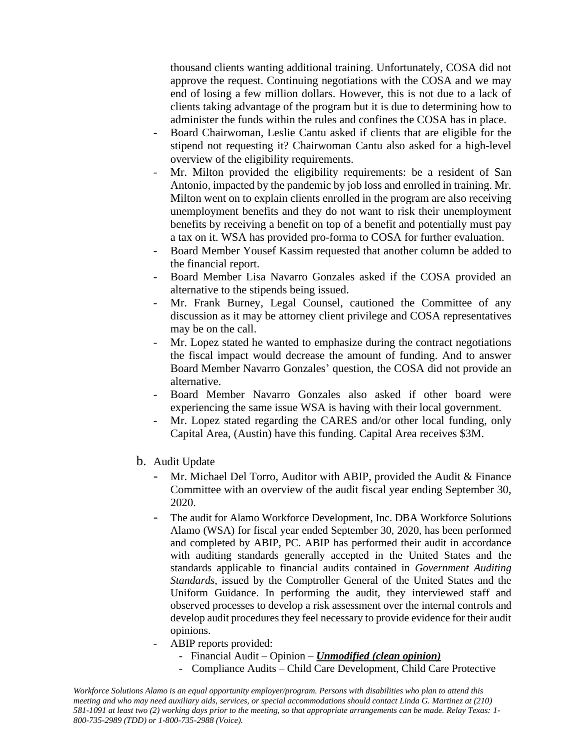thousand clients wanting additional training. Unfortunately, COSA did not approve the request. Continuing negotiations with the COSA and we may end of losing a few million dollars. However, this is not due to a lack of clients taking advantage of the program but it is due to determining how to administer the funds within the rules and confines the COSA has in place.

- Board Chairwoman, Leslie Cantu asked if clients that are eligible for the stipend not requesting it? Chairwoman Cantu also asked for a high-level overview of the eligibility requirements.
- Mr. Milton provided the eligibility requirements: be a resident of San Antonio, impacted by the pandemic by job loss and enrolled in training. Mr. Milton went on to explain clients enrolled in the program are also receiving unemployment benefits and they do not want to risk their unemployment benefits by receiving a benefit on top of a benefit and potentially must pay a tax on it. WSA has provided pro-forma to COSA for further evaluation.
- Board Member Yousef Kassim requested that another column be added to the financial report.
- Board Member Lisa Navarro Gonzales asked if the COSA provided an alternative to the stipends being issued.
- Mr. Frank Burney, Legal Counsel, cautioned the Committee of any discussion as it may be attorney client privilege and COSA representatives may be on the call.
- Mr. Lopez stated he wanted to emphasize during the contract negotiations the fiscal impact would decrease the amount of funding. And to answer Board Member Navarro Gonzales' question, the COSA did not provide an alternative.
- Board Member Navarro Gonzales also asked if other board were experiencing the same issue WSA is having with their local government.
- Mr. Lopez stated regarding the CARES and/or other local funding, only Capital Area, (Austin) have this funding. Capital Area receives \$3M.
- b. Audit Update
	- Mr. Michael Del Torro, Auditor with ABIP, provided the Audit & Finance Committee with an overview of the audit fiscal year ending September 30, 2020.
	- The audit for Alamo Workforce Development, Inc. DBA Workforce Solutions Alamo (WSA) for fiscal year ended September 30, 2020, has been performed and completed by ABIP, PC. ABIP has performed their audit in accordance with auditing standards generally accepted in the United States and the standards applicable to financial audits contained in *Government Auditing Standards*, issued by the Comptroller General of the United States and the Uniform Guidance. In performing the audit, they interviewed staff and observed processes to develop a risk assessment over the internal controls and develop audit procedures they feel necessary to provide evidence for their audit opinions.
	- ABIP reports provided:
		- Financial Audit Opinion *Unmodified (clean opinion)*
		- Compliance Audits Child Care Development, Child Care Protective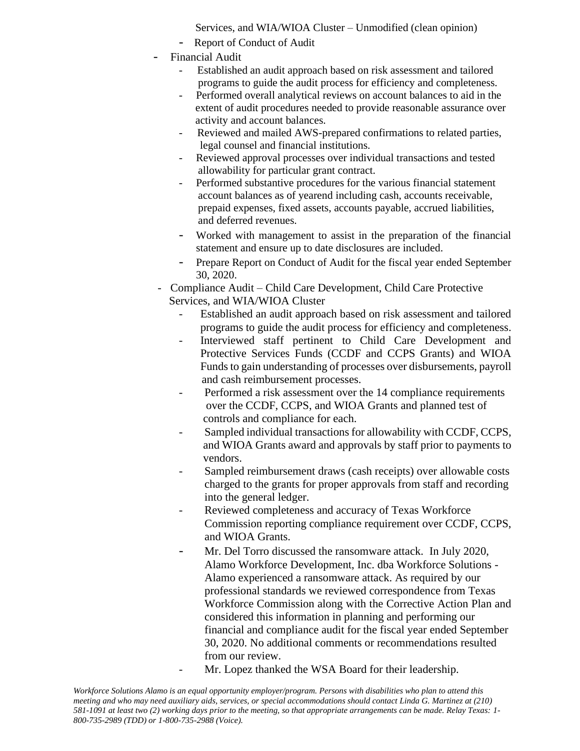Services, and WIA/WIOA Cluster – Unmodified (clean opinion)

- Report of Conduct of Audit
- Financial Audit
	- Established an audit approach based on risk assessment and tailored programs to guide the audit process for efficiency and completeness.
	- Performed overall analytical reviews on account balances to aid in the extent of audit procedures needed to provide reasonable assurance over activity and account balances.
	- Reviewed and mailed AWS-prepared confirmations to related parties, legal counsel and financial institutions.
	- Reviewed approval processes over individual transactions and tested allowability for particular grant contract.
	- Performed substantive procedures for the various financial statement account balances as of yearend including cash, accounts receivable, prepaid expenses, fixed assets, accounts payable, accrued liabilities, and deferred revenues.
	- Worked with management to assist in the preparation of the financial statement and ensure up to date disclosures are included.
	- Prepare Report on Conduct of Audit for the fiscal year ended September 30, 2020.
	- Compliance Audit Child Care Development, Child Care Protective Services, and WIA/WIOA Cluster
		- Established an audit approach based on risk assessment and tailored programs to guide the audit process for efficiency and completeness.
		- Interviewed staff pertinent to Child Care Development and Protective Services Funds (CCDF and CCPS Grants) and WIOA Funds to gain understanding of processes over disbursements, payroll and cash reimbursement processes.
		- Performed a risk assessment over the 14 compliance requirements over the CCDF, CCPS, and WIOA Grants and planned test of controls and compliance for each.
		- Sampled individual transactions for allowability with CCDF, CCPS, and WIOA Grants award and approvals by staff prior to payments to vendors.
		- Sampled reimbursement draws (cash receipts) over allowable costs charged to the grants for proper approvals from staff and recording into the general ledger.
		- Reviewed completeness and accuracy of Texas Workforce Commission reporting compliance requirement over CCDF, CCPS, and WIOA Grants.
		- Mr. Del Torro discussed the ransomware attack. In July 2020, Alamo Workforce Development, Inc. dba Workforce Solutions - Alamo experienced a ransomware attack. As required by our professional standards we reviewed correspondence from Texas Workforce Commission along with the Corrective Action Plan and considered this information in planning and performing our financial and compliance audit for the fiscal year ended September 30, 2020. No additional comments or recommendations resulted from our review.
		- Mr. Lopez thanked the WSA Board for their leadership.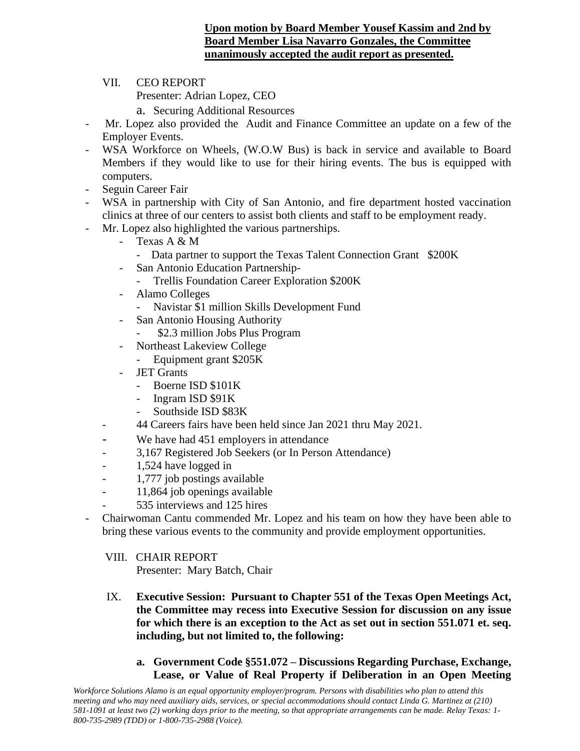# **Upon motion by Board Member Yousef Kassim and 2nd by Board Member Lisa Navarro Gonzales, the Committee unanimously accepted the audit report as presented.**

VII. CEO REPORT

Presenter: Adrian Lopez, CEO

a. Securing Additional Resources

- Mr. Lopez also provided the Audit and Finance Committee an update on a few of the Employer Events.
- WSA Workforce on Wheels, (W.O.W Bus) is back in service and available to Board Members if they would like to use for their hiring events. The bus is equipped with computers.
- Seguin Career Fair
- WSA in partnership with City of San Antonio, and fire department hosted vaccination clinics at three of our centers to assist both clients and staff to be employment ready.
- Mr. Lopez also highlighted the various partnerships.
	- Texas A & M
		- Data partner to support the Texas Talent Connection Grant \$200K
	- San Antonio Education Partnership-
		- Trellis Foundation Career Exploration \$200K
	- Alamo Colleges
		- Navistar \$1 million Skills Development Fund
	- San Antonio Housing Authority
		- \$2.3 million Jobs Plus Program
	- Northeast Lakeview College
		- Equipment grant \$205K
	- JET Grants
		- Boerne ISD \$101K
		- Ingram ISD \$91K
		- Southside ISD \$83K
	- 44 Careers fairs have been held since Jan 2021 thru May 2021.
	- We have had 451 employers in attendance
	- 3,167 Registered Job Seekers (or In Person Attendance)
	- 1,524 have logged in
	- 1,777 job postings available
	- 11,864 job openings available
	- 535 interviews and 125 hires
- Chairwoman Cantu commended Mr. Lopez and his team on how they have been able to bring these various events to the community and provide employment opportunities.

VIII. CHAIR REPORT Presenter: Mary Batch, Chair

- IX. **Executive Session: Pursuant to Chapter 551 of the Texas Open Meetings Act, the Committee may recess into Executive Session for discussion on any issue for which there is an exception to the Act as set out in section 551.071 et. seq. including, but not limited to, the following:** 
	- **a. Government Code §551.072 – Discussions Regarding Purchase, Exchange, Lease, or Value of Real Property if Deliberation in an Open Meeting**